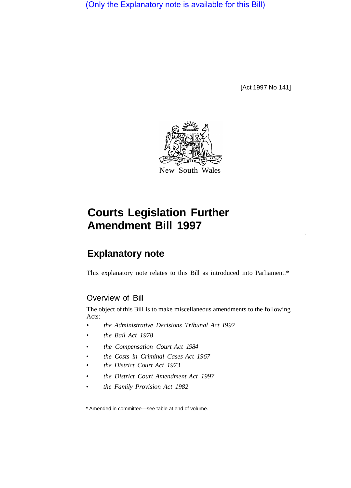(Only the Explanatory note is available for this Bill)

[Act 1997 No 141]



## **Courts Legislation Further Amendment Bill 1997**

## **Explanatory note**

This explanatory note relates to this Bill as introduced into Parliament.\*

## Overview of Bill

The object of this Bill is to make miscellaneous amendments to the following Acts:

- *the Administrative Decisions Tribunal Act I997*
- *the Bail Act 1978*
- *the Compensation Court Act 1984*
- *the Costs in Criminal Cases Act 1967*
- *the District Court Act 1973*
- *the District Court Amendment Act 1997*
- *the Family Provision Act 1982*

<sup>\*</sup> Amended in committee—see table at end of volume.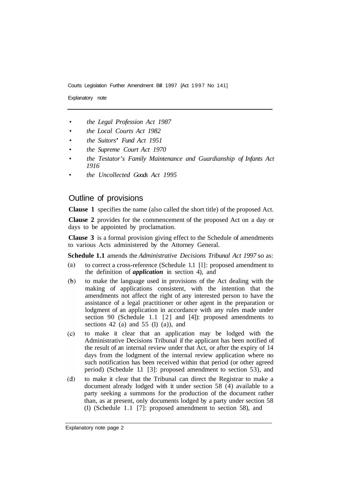Explanatory note

- *the Legal Profession Act 1987*
- *the Local Courts Act 1982*
- *the Suitors' Fund Act 1951*
- *the Supreme Court Act 1970*
- *the Testator's Family Maintenance and Guardianship of Infants Act 1916*
- *the Uncollected Goods Act 1995*

## Outline of provisions

**Clause 1** specifies the name (also called the short title) of the proposed Act.

**Clause 2** provides for the commencement of the proposed Act on a day or days to be appointed by proclamation.

**Clause 3** is a formal provision giving effect to the Schedule of amendments to various Acts administered by the Attorney General.

**Schedule 1.1** amends the *Administrative Decisions Tribunal Act 1997* so as:

- $(a)$ to correct a cross-reference (Schedule 1.1 [l]: proposed amendment to the definition of *application* in section 4), and
- to make the language used in provisions of the Act dealing with the  $(b)$ making of applications consistent, with the intention that the amendments not affect the right of any interested person to have the assistance of a legal practitioner or other agent in the preparation or lodgment of an application in accordance with any rules made under section 90 (Schedule 1.1 [2] and [4]): proposed amendments to sections 42 (a) and 55 (1) (a)), and
- $(c)$ to make it clear that an application may be lodged with the Administrative Decisions Tribunal if the applicant has been notified of the result of an internal review under that Act, or after the expiry of 14 days from the lodgment of the internal review application where no such notification has been received within that period (or other agreed period) (Schedule 1.1 [3]: proposed amendment to section 53), and
- $(d)$ to make it clear that the Tribunal can direct the Registrar to make a document already lodged with it under section 58 (4) available to a party seeking a summons for the production of the document rather than, as at present, only documents lodged by a party under section 58 (1) (Schedule 1.1 [7]: proposed amendment to section 58), and

Explanatory note page 2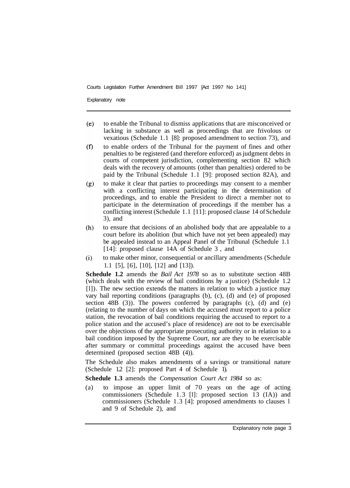Explanatory note

- $(e)$ to enable the Tribunal to dismiss applications that are misconceived or lacking in substance as well as proceedings that are frivolous or vexatious (Schedule 1.1 [8]: proposed amendment to section 73), and
- $(f)$ to enable orders of the Tribunal for the payment of fines and other penalties to be registered (and therefore enforced) as judgment debts in courts of competent jurisdiction, complementing section 82 which deals with the recovery of amounts (other than penalties) ordered to be paid by the Tribunal (Schedule 1.1 [9]: proposed section 82A), and
- to make it clear that parties to proceedings may consent to a member  $(g)$ with a conflicting interest participating in the determination of proceedings, and to enable the President to direct a member not to participate in the determination of proceedings if the member has a conflicting interest (Schedule 1.1 [11]: proposed clause 14 of Schedule 3), and
- $(h)$ to ensure that decisions of an abolished body that are appealable to a court before its abolition (but which have not yet been appealed) may be appealed instead to an Appeal Panel of the Tribunal (Schedule 1.1 [14]: proposed clause 14A of Schedule 3, and
- to make other minor, consequential or ancillary amendments (Schedule  $(i)$ 1.1 [5], [6], [10], [12] and [13]).

**Schedule 1.2** amends the *Bail Act 1978* so as to substitute section 48B (which deals with the review of bail conditions by a justice) (Schedule 1.2 [l]). The new section extends the matters in relation to which a justice may vary bail reporting conditions (paragraphs (b), (c), (d) and (e) of proposed section  $48B$  (3)). The powers conferred by paragraphs (c), (d) and (e) (relating to the number of days on which the accused must report to a police station, the revocation of bail conditions requiring the accused to report to a police station and the accused's place of residence) are not to be exercisable over the objections of the appropriate prosecuting authority or in relation to a bail condition imposed by the Supreme Court, nor are they to be exercisable after summary or committal proceedings against the accused have been determined (proposed section 48B (4)).

The Schedule also makes amendments of a savings or transitional nature (Schedule 1.2 [2]: proposed Part 4 of Schedule 1).

**Schedule 1.3** amends the *Compensation Court Act 1984* so as:

(a) to impose an upper limit of 70 years on the age of acting commissioners (Schedule 1.3 [l]: proposed section 13 (IA)) and commissioners (Schedule 1.3 [4]: proposed amendments to clauses l and 9 of Schedule 2), and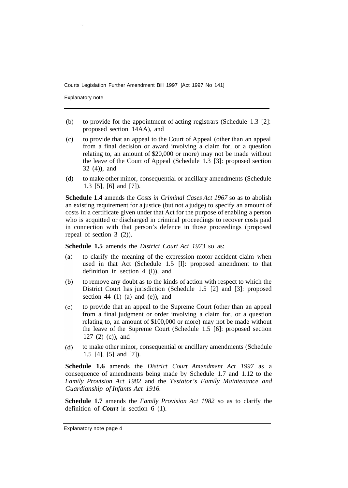Explanatory note

- (b) to provide for the appointment of acting registrars (Schedule 1.3 [2]: proposed section 14AA), and
- (c) to provide that an appeal to the Court of Appeal (other than an appeal from a final decision or award involving a claim for, or a question relating to, an amount of \$20,000 or more) may not be made without the leave of the Court of Appeal (Schedule 1.3 [3]: proposed section 32 (4)), and
- (d) to make other minor, consequential or ancillary amendments (Schedule 1.3 [5], [6] and [7]).

**Schedule 1.4** amends the *Costs in Criminal Cases Act 1967* so as to abolish an existing requirement for a justice (but not a judge) to specify an amount of costs in a certificate given under that Act for the purpose of enabling a person who is acquitted or discharged in criminal proceedings to recover costs paid in connection with that person's defence in those proceedings (proposed repeal of section 3 (2)).

**Schedule 1.5** amends the *District Court Act 1973* so as:

- to clarify the meaning of the expression motor accident claim when  $(a)$ used in that Act (Schedule 1.5 [l]: proposed amendment to that definition in section 4 (l)), and
- to remove any doubt as to the kinds of action with respect to which the  $(b)$ District Court has jurisdiction (Schedule 1.5 [2] and [3]: proposed section 44  $(1)$   $(a)$  and  $(e)$ ), and
- $(c)$ to provide that an appeal to the Supreme Court (other than an appeal from a final judgment or order involving a claim for, or a question relating to, an amount of \$100,000 or more) may not be made without the leave of the Supreme Court (Schedule 1.5 [6]: proposed section 127 (2) (c)), and
- $(d)$ to make other minor, consequential or ancillary amendments (Schedule 1.5 [4], [5] and [7]).

**Schedule 1.6** amends the *District Court Amendment Act 1997* as a consequence of amendments being made by Schedule 1.7 and 1.12 to the *Family Provision Act 1982* and the *Testator's Family Maintenance and Guardianship of Infants Act 1916.* 

**Schedule 1.7** amends the *Family Provision Act 1982* so as to clarify the definition of *Court* in section 6 (1).

Explanatory note page 4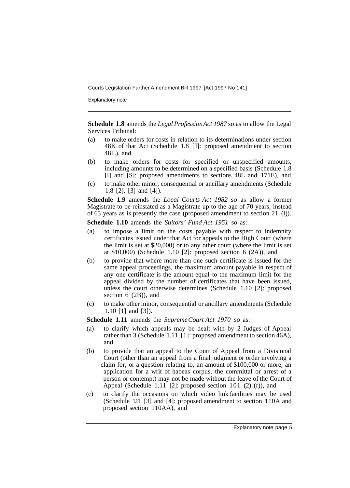Explanatory note

**Schedule 1.8** amends the *Legal Profession Act 1987* so as to allow the Legal Services Tribunal:

- (a) to make orders for costs in relation to its determinations under section 48K of that Act (Schedule 1.8 [ l]: proposed amendment to section 48 L), and
- (b) to make orders for costs for specified or unspecified amounts, including amounts to be determined on a specified basis (Schedule 1.8 [l] and [S]: proposed amendments to sections 48L and 171E), and
- (c) to make other minor, consequential or ancillary amendments (Schedule 1.8 [2], [3] and [4]).

**Schedule 1.9** amends the *Local Courts Act 1982* so as allow a former Magistrate to be reinstated as a Magistrate up to the age of 70 years, instead of 65 years as is presently the case (proposed amendment to section 21 (l)).

- **Schedule 1.10** amends the *Suitors' Fund Act 1951* so as:
- (a) to impose a limit on the costs payable with respect to indemnity certificates issued under that Act for appeals to the High Court (where the limit is set at \$20,000) or to any other court (where the limit is set at  $$10,000$  (Schedule 1.10 [2]: proposed section 6 (2A)), and
- (b) to provide that where more than one such certificate is issued for the same appeal proceedings, the maximum amount payable in respect of any one certificate is the amount equal to the maximum limit for the appeal divided by the number of certificates that have been issued, unless the court otherwise determines (Schedule 1.10 [2]: proposed section 6 (2B)), and
- (c) to make other minor, consequential or ancillary amendments (Schedule 1.10 [1] and [3]).

**Schedule 1.11** amends the *Supreme Court Act 1970* so as:

- (a) to clarify which appeals may be dealt with by 2 Judges of Appeal rather than 3 (Schedule 1.11 [1]: proposed amendment to section  $\hat{46}A$ ), and
- (b) to provide that an appeal to the Court of Appeal from a Divisional Court (other than an appeal from a final judgment or order involving a claim for, or a question relating to, an amount of \$100,000 or more, an application for a writ of habeas corpus, the committal or arrest of a person or contempt) may not be made without the leave of the Court of Appeal (Schedule 1.11 [2]: proposed section 101 (2) (r)), and
- (c) to clarify the occasions on which video link facilities may be used (Schedule 1.11 [3] and [4]: proposed amendment to section 110A and proposed section 110AA), and